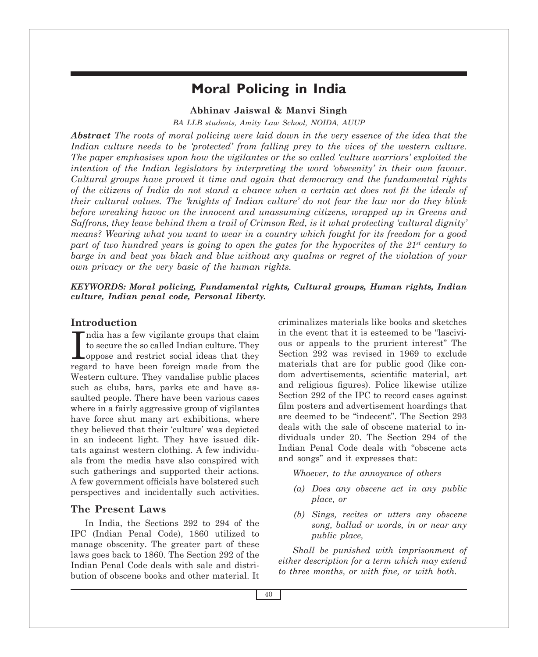# **Moral Policing in India**

### **Abhinav Jaiswal & Manvi Singh**

*BA LLB students, Amity Law School, Noida, AUUP*

*Abstract The roots of moral policing were laid down in the very essence of the idea that the Indian culture needs to be 'protected' from falling prey to the vices of the western culture. The paper emphasises upon how the vigilantes or the so called 'culture warriors' exploited the intention of the Indian legislators by interpreting the word 'obscenity' in their own favour. Cultural groups have proved it time and again that democracy and the fundamental rights of the citizens of India do not stand a chance when a certain act does not fit the ideals of their cultural values. The 'knights of Indian culture' do not fear the law nor do they blink before wreaking havoc on the innocent and unassuming citizens, wrapped up in Greens and Saffrons, they leave behind them a trail of Crimson Red, is it what protecting 'cultural dignity' means? Wearing what you want to wear in a country which fought for its freedom for a good part of two hundred years is going to open the gates for the hypocrites of the*  $21^{st}$  *century to barge in and beat you black and blue without any qualms or regret of the violation of your own privacy or the very basic of the human rights.* 

#### *KeyWords: Moral policing, Fundamental rights, Cultural groups, Human rights, Indian culture, Indian penal code, Personal liberty.*

### **Introduction**

India has a few vigilante groups that claim<br>to secure the so called Indian culture. They<br>oppose and restrict social ideas that they ndia has a few vigilante groups that claim to secure the so called Indian culture. They regard to have been foreign made from the Western culture. They vandalise public places such as clubs, bars, parks etc and have assaulted people. There have been various cases where in a fairly aggressive group of vigilantes have force shut many art exhibitions, where they believed that their 'culture' was depicted in an indecent light. They have issued diktats against western clothing. A few individuals from the media have also conspired with such gatherings and supported their actions. A few government officials have bolstered such perspectives and incidentally such activities.

### **The Present Laws**

In India, the Sections 292 to 294 of the IPC (Indian Penal Code), 1860 utilized to manage obscenity. The greater part of these laws goes back to 1860. The Section 292 of the Indian Penal Code deals with sale and distribution of obscene books and other material. It criminalizes materials like books and sketches in the event that it is esteemed to be "lascivious or appeals to the prurient interest" The Section 292 was revised in 1969 to exclude materials that are for public good (like condom advertisements, scientific material, art and religious figures). Police likewise utilize Section 292 of the IPC to record cases against film posters and advertisement hoardings that are deemed to be "indecent". The Section 293 deals with the sale of obscene material to individuals under 20. The Section 294 of the Indian Penal Code deals with "obscene acts and songs" and it expresses that:

*Whoever, to the annoyance of others* 

- *(a) Does any obscene act in any public place, or*
- *(b) Sings, recites or utters any obscene song, ballad or words, in or near any public place,*

*Shall be punished with imprisonment of either description for a term which may extend to three months, or with fine, or with both.*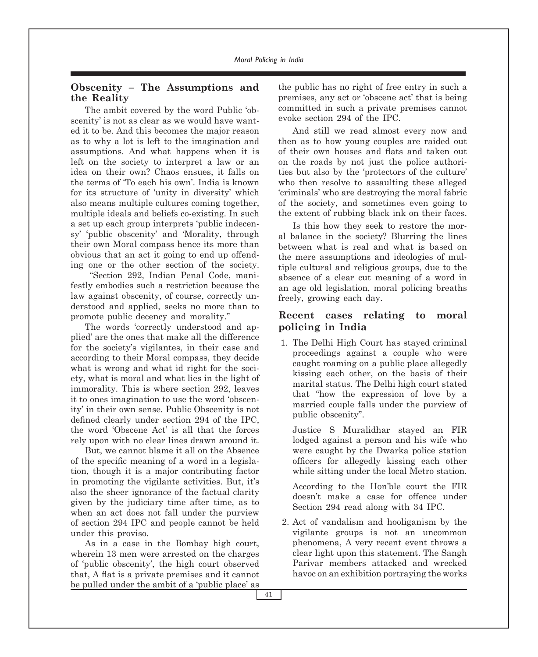### **Obscenity – The Assumptions and the Reality**

The ambit covered by the word Public 'obscenity' is not as clear as we would have wanted it to be. And this becomes the major reason as to why a lot is left to the imagination and assumptions. And what happens when it is left on the society to interpret a law or an idea on their own? Chaos ensues, it falls on the terms of 'To each his own'. India is known for its structure of 'unity in diversity' which also means multiple cultures coming together, multiple ideals and beliefs co-existing. In such a set up each group interprets 'public indecensy' 'public obscenity' and 'Morality, through their own Moral compass hence its more than obvious that an act it going to end up offending one or the other section of the society.

 "Section 292, Indian Penal Code, manifestly embodies such a restriction because the law against obscenity, of course, correctly understood and applied, seeks no more than to promote public decency and morality."

The words 'correctly understood and applied' are the ones that make all the difference for the society's vigilantes, in their case and according to their Moral compass, they decide what is wrong and what id right for the society, what is moral and what lies in the light of immorality. This is where section 292, leaves it to ones imagination to use the word 'obscenity' in their own sense. Public Obscenity is not defined clearly under section 294 of the IPC, the word 'Obscene Act' is all that the forces rely upon with no clear lines drawn around it.

But, we cannot blame it all on the Absence of the specific meaning of a word in a legislation, though it is a major contributing factor in promoting the vigilante activities. But, it's also the sheer ignorance of the factual clarity given by the judiciary time after time, as to when an act does not fall under the purview of section 294 IPC and people cannot be held under this proviso.

As in a case in the Bombay high court, wherein 13 men were arrested on the charges of 'public obscenity', the high court observed that, A flat is a private premises and it cannot be pulled under the ambit of a 'public place' as the public has no right of free entry in such a premises, any act or 'obscene act' that is being committed in such a private premises cannot evoke section 294 of the IPC.

And still we read almost every now and then as to how young couples are raided out of their own houses and flats and taken out on the roads by not just the police authorities but also by the 'protectors of the culture' who then resolve to assaulting these alleged 'criminals' who are destroying the moral fabric of the society, and sometimes even going to the extent of rubbing black ink on their faces.

Is this how they seek to restore the moral balance in the society? Blurring the lines between what is real and what is based on the mere assumptions and ideologies of multiple cultural and religious groups, due to the absence of a clear cut meaning of a word in an age old legislation, moral policing breaths freely, growing each day.

### **Recent cases relating to moral policing in India**

1. The Delhi High Court has stayed criminal proceedings against a couple who were caught roaming on a public place allegedly kissing each other, on the basis of their marital status. The Delhi high court stated that "how the expression of love by a married couple falls under the purview of public obscenity".

 Justice S Muralidhar stayed an FIR lodged against a person and his wife who were caught by the Dwarka police station officers for allegedly kissing each other while sitting under the local Metro station.

 According to the Hon'ble court the FIR doesn't make a case for offence under Section 294 read along with 34 IPC.

2. Act of vandalism and hooliganism by the vigilante groups is not an uncommon phenomena, A very recent event throws a clear light upon this statement. The Sangh Parivar members attacked and wrecked havoc on an exhibition portraying the works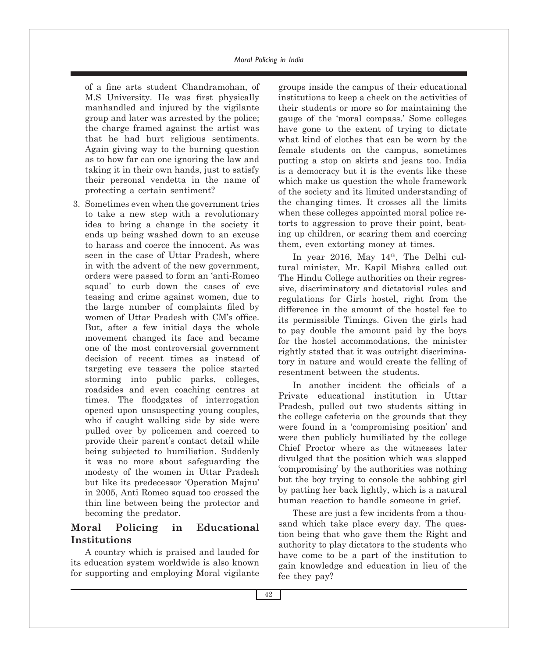#### *Moral Policing in India*

of a fine arts student Chandramohan, of M.S University. He was first physically manhandled and injured by the vigilante group and later was arrested by the police; the charge framed against the artist was that he had hurt religious sentiments. Again giving way to the burning question as to how far can one ignoring the law and taking it in their own hands, just to satisfy their personal vendetta in the name of protecting a certain sentiment?

3. Sometimes even when the government tries to take a new step with a revolutionary idea to bring a change in the society it ends up being washed down to an excuse to harass and coerce the innocent. As was seen in the case of Uttar Pradesh, where in with the advent of the new government, orders were passed to form an 'anti-Romeo squad' to curb down the cases of eve teasing and crime against women, due to the large number of complaints filed by women of Uttar Pradesh with CM's office. But, after a few initial days the whole movement changed its face and became one of the most controversial government decision of recent times as instead of targeting eve teasers the police started storming into public parks, colleges, roadsides and even coaching centres at times. The floodgates of interrogation opened upon unsuspecting young couples, who if caught walking side by side were pulled over by policemen and coerced to provide their parent's contact detail while being subjected to humiliation. Suddenly it was no more about safeguarding the modesty of the women in Uttar Pradesh but like its predecessor 'Operation Majnu' in 2005, Anti Romeo squad too crossed the thin line between being the protector and becoming the predator.

### **Moral Policing in Educational Institutions**

A country which is praised and lauded for its education system worldwide is also known for supporting and employing Moral vigilante

groups inside the campus of their educational institutions to keep a check on the activities of their students or more so for maintaining the gauge of the 'moral compass.' Some colleges have gone to the extent of trying to dictate what kind of clothes that can be worn by the female students on the campus, sometimes putting a stop on skirts and jeans too. India is a democracy but it is the events like these which make us question the whole framework of the society and its limited understanding of the changing times. It crosses all the limits when these colleges appointed moral police retorts to aggression to prove their point, beating up children, or scaring them and coercing them, even extorting money at times.

In year 2016, May  $14<sup>th</sup>$ , The Delhi cultural minister, Mr. Kapil Mishra called out The Hindu College authorities on their regressive, discriminatory and dictatorial rules and regulations for Girls hostel, right from the difference in the amount of the hostel fee to its permissible Timings. Given the girls had to pay double the amount paid by the boys for the hostel accommodations, the minister rightly stated that it was outright discriminatory in nature and would create the felling of resentment between the students.

In another incident the officials of a Private educational institution in Uttar Pradesh, pulled out two students sitting in the college cafeteria on the grounds that they were found in a 'compromising position' and were then publicly humiliated by the college Chief Proctor where as the witnesses later divulged that the position which was slapped 'compromising' by the authorities was nothing but the boy trying to console the sobbing girl by patting her back lightly, which is a natural human reaction to handle someone in grief.

These are just a few incidents from a thousand which take place every day. The question being that who gave them the Right and authority to play dictators to the students who have come to be a part of the institution to gain knowledge and education in lieu of the fee they pay?